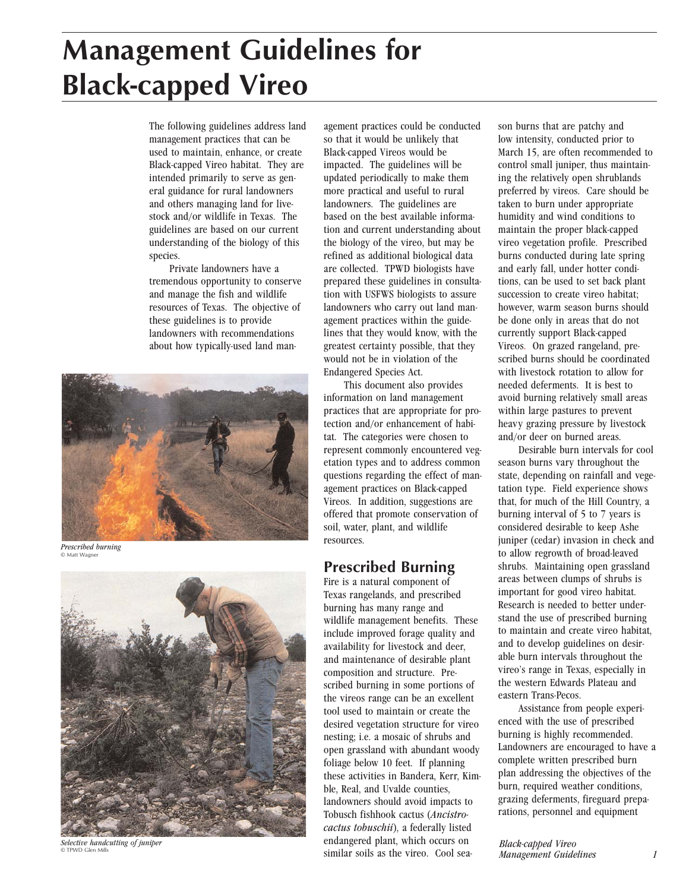# **Management Guidelines for Black-capped Vireo**

The following guidelines address land management practices that can be used to maintain, enhance, or create Black-capped Vireo habitat. They are intended primarily to serve as general guidance for rural landowners and others managing land for livestock and/or wildlife in Texas. The guidelines are based on our current understanding of the biology of this species.

Private landowners have a tremendous opportunity to conserve and manage the fish and wildlife resources of Texas. The objective of these guidelines is to provide landowners with recommendations about how typically-used land man-



*Prescribed burning* © Matt Wagner



*Selective handcutting of juniper* © TPWD Glen Mills

agement practices could be conducted so that it would be unlikely that Black-capped Vireos would be impacted. The guidelines will be updated periodically to make them more practical and useful to rural landowners. The guidelines are based on the best available information and current understanding about the biology of the vireo, but may be refined as additional biological data are collected. TPWD biologists have prepared these guidelines in consultation with USFWS biologists to assure landowners who carry out land management practices within the guidelines that they would know, with the greatest certainty possible, that they would not be in violation of the Endangered Species Act.

This document also provides information on land management practices that are appropriate for protection and/or enhancement of habitat. The categories were chosen to represent commonly encountered vegetation types and to address common questions regarding the effect of management practices on Black-capped Vireos. In addition, suggestions are offered that promote conservation of soil, water, plant, and wildlife resources.

## **Prescribed Burning**

Fire is a natural component of Texas rangelands, and prescribed burning has many range and wildlife management benefits. These include improved forage quality and availability for livestock and deer, and maintenance of desirable plant composition and structure. Prescribed burning in some portions of the vireos range can be an excellent tool used to maintain or create the desired vegetation structure for vireo nesting; i.e. a mosaic of shrubs and open grassland with abundant woody foliage below 10 feet. If planning these activities in Bandera, Kerr, Kimble, Real, and Uvalde counties, landowners should avoid impacts to Tobusch fishhook cactus (*Ancistrocactus tobuschii*), a federally listed endangered plant, which occurs on similar soils as the vireo. Cool season burns that are patchy and low intensity, conducted prior to March 15, are often recommended to control small juniper, thus maintaining the relatively open shrublands preferred by vireos. Care should be taken to burn under appropriate humidity and wind conditions to maintain the proper black-capped vireo vegetation profile. Prescribed burns conducted during late spring and early fall, under hotter conditions, can be used to set back plant succession to create vireo habitat; however, warm season burns should be done only in areas that do not currently support Black-capped Vireos. On grazed rangeland, prescribed burns should be coordinated with livestock rotation to allow for needed deferments. It is best to avoid burning relatively small areas within large pastures to prevent heavy grazing pressure by livestock and/or deer on burned areas.

Desirable burn intervals for cool season burns vary throughout the state, depending on rainfall and vegetation type. Field experience shows that, for much of the Hill Country, a burning interval of 5 to 7 years is considered desirable to keep Ashe juniper (cedar) invasion in check and to allow regrowth of broad-leaved shrubs. Maintaining open grassland areas between clumps of shrubs is important for good vireo habitat. Research is needed to better understand the use of prescribed burning to maintain and create vireo habitat, and to develop guidelines on desirable burn intervals throughout the vireo's range in Texas, especially in the western Edwards Plateau and eastern Trans-Pecos.

Assistance from people experienced with the use of prescribed burning is highly recommended. Landowners are encouraged to have a complete written prescribed burn plan addressing the objectives of the burn, required weather conditions, grazing deferments, fireguard preparations, personnel and equipment

*Black-capped Vireo Management Guidelines 1*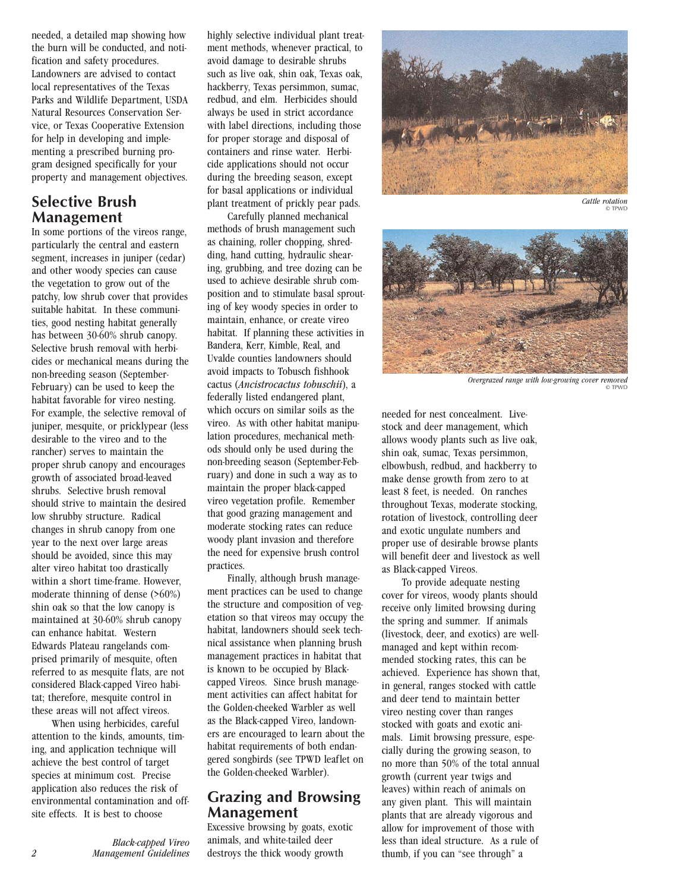needed, a detailed map showing how the burn will be conducted, and notification and safety procedures. Landowners are advised to contact local representatives of the Texas Parks and Wildlife Department, USDA Natural Resources Conservation Service, or Texas Cooperative Extension for help in developing and implementing a prescribed burning program designed specifically for your property and management objectives.

### **Selective Brush Management**

In some portions of the vireos range, particularly the central and eastern segment, increases in juniper (cedar) and other woody species can cause the vegetation to grow out of the patchy, low shrub cover that provides suitable habitat. In these communities, good nesting habitat generally has between 30-60% shrub canopy. Selective brush removal with herbicides or mechanical means during the non-breeding season (September-February) can be used to keep the habitat favorable for vireo nesting. For example, the selective removal of juniper, mesquite, or pricklypear (less desirable to the vireo and to the rancher) serves to maintain the proper shrub canopy and encourages growth of associated broad-leaved shrubs. Selective brush removal should strive to maintain the desired low shrubby structure. Radical changes in shrub canopy from one year to the next over large areas should be avoided, since this may alter vireo habitat too drastically within a short time-frame. However, moderate thinning of dense (>60%) shin oak so that the low canopy is maintained at 30-60% shrub canopy can enhance habitat. Western Edwards Plateau rangelands comprised primarily of mesquite, often referred to as mesquite flats, are not considered Black-capped Vireo habitat; therefore, mesquite control in these areas will not affect vireos.

When using herbicides, careful attention to the kinds, amounts, timing, and application technique will achieve the best control of target species at minimum cost. Precise application also reduces the risk of environmental contamination and offsite effects. It is best to choose

*Black-capped Vireo 2 Management Guidelines*

highly selective individual plant treatment methods, whenever practical, to avoid damage to desirable shrubs such as live oak, shin oak, Texas oak, hackberry, Texas persimmon, sumac, redbud, and elm. Herbicides should always be used in strict accordance with label directions, including those for proper storage and disposal of containers and rinse water. Herbicide applications should not occur during the breeding season, except for basal applications or individual plant treatment of prickly pear pads.

Carefully planned mechanical methods of brush management such as chaining, roller chopping, shredding, hand cutting, hydraulic shearing, grubbing, and tree dozing can be used to achieve desirable shrub composition and to stimulate basal sprouting of key woody species in order to maintain, enhance, or create vireo habitat. If planning these activities in Bandera, Kerr, Kimble, Real, and Uvalde counties landowners should avoid impacts to Tobusch fishhook cactus (*Ancistrocactus tobuschii*), a federally listed endangered plant, which occurs on similar soils as the vireo. As with other habitat manipulation procedures, mechanical methods should only be used during the non-breeding season (September-February) and done in such a way as to maintain the proper black-capped vireo vegetation profile. Remember that good grazing management and moderate stocking rates can reduce woody plant invasion and therefore the need for expensive brush control practices.

Finally, although brush management practices can be used to change the structure and composition of vegetation so that vireos may occupy the habitat, landowners should seek technical assistance when planning brush management practices in habitat that is known to be occupied by Blackcapped Vireos. Since brush management activities can affect habitat for the Golden-cheeked Warbler as well as the Black-capped Vireo, landowners are encouraged to learn about the habitat requirements of both endangered songbirds (see TPWD leaflet on the Golden-cheeked Warbler).

#### **Grazing and Browsing Management**

Excessive browsing by goats, exotic animals, and white-tailed deer destroys the thick woody growth



*Cattle rotation* © TPWD



*Overgrazed range with low-growing cover removed* © TPWD

needed for nest concealment. Livestock and deer management, which allows woody plants such as live oak, shin oak, sumac, Texas persimmon, elbowbush, redbud, and hackberry to make dense growth from zero to at least 8 feet, is needed. On ranches throughout Texas, moderate stocking, rotation of livestock, controlling deer and exotic ungulate numbers and proper use of desirable browse plants will benefit deer and livestock as well as Black-capped Vireos.

To provide adequate nesting cover for vireos, woody plants should receive only limited browsing during the spring and summer. If animals (livestock, deer, and exotics) are wellmanaged and kept within recommended stocking rates, this can be achieved. Experience has shown that, in general, ranges stocked with cattle and deer tend to maintain better vireo nesting cover than ranges stocked with goats and exotic animals. Limit browsing pressure, especially during the growing season, to no more than 50% of the total annual growth (current year twigs and leaves) within reach of animals on any given plant. This will maintain plants that are already vigorous and allow for improvement of those with less than ideal structure. As a rule of thumb, if you can "see through" a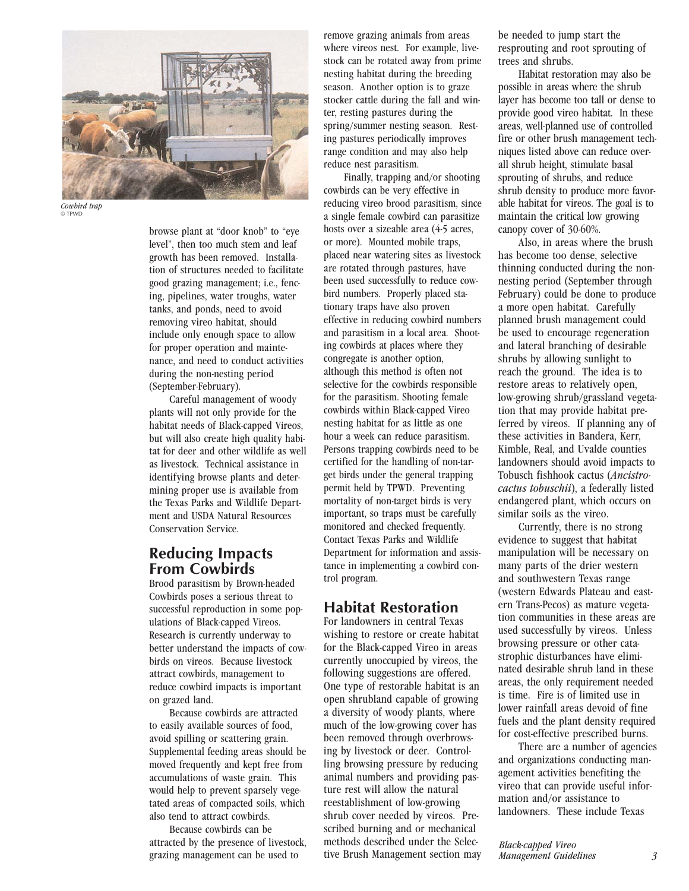

*Cowbird trap* © TPWD

browse plant at "door knob" to "eye level", then too much stem and leaf growth has been removed. Installation of structures needed to facilitate good grazing management; i.e., fencing, pipelines, water troughs, water tanks, and ponds, need to avoid removing vireo habitat, should include only enough space to allow for proper operation and maintenance, and need to conduct activities during the non-nesting period (September-February).

Careful management of woody plants will not only provide for the habitat needs of Black-capped Vireos, but will also create high quality habitat for deer and other wildlife as well as livestock. Technical assistance in identifying browse plants and determining proper use is available from the Texas Parks and Wildlife Department and USDA Natural Resources Conservation Service.

#### **Reducing Impacts From Cowbirds**

Brood parasitism by Brown-headed Cowbirds poses a serious threat to successful reproduction in some populations of Black-capped Vireos. Research is currently underway to better understand the impacts of cowbirds on vireos. Because livestock attract cowbirds, management to reduce cowbird impacts is important on grazed land.

Because cowbirds are attracted to easily available sources of food, avoid spilling or scattering grain. Supplemental feeding areas should be moved frequently and kept free from accumulations of waste grain. This would help to prevent sparsely vegetated areas of compacted soils, which also tend to attract cowbirds.

Because cowbirds can be attracted by the presence of livestock, grazing management can be used to

remove grazing animals from areas where vireos nest. For example, livestock can be rotated away from prime nesting habitat during the breeding season. Another option is to graze stocker cattle during the fall and winter, resting pastures during the spring/summer nesting season. Resting pastures periodically improves range condition and may also help reduce nest parasitism.

Finally, trapping and/or shooting cowbirds can be very effective in reducing vireo brood parasitism, since a single female cowbird can parasitize hosts over a sizeable area (4-5 acres, or more). Mounted mobile traps, placed near watering sites as livestock are rotated through pastures, have been used successfully to reduce cowbird numbers. Properly placed stationary traps have also proven effective in reducing cowbird numbers and parasitism in a local area. Shooting cowbirds at places where they congregate is another option, although this method is often not selective for the cowbirds responsible for the parasitism. Shooting female cowbirds within Black-capped Vireo nesting habitat for as little as one hour a week can reduce parasitism. Persons trapping cowbirds need to be certified for the handling of non-target birds under the general trapping permit held by TPWD. Preventing mortality of non-target birds is very important, so traps must be carefully monitored and checked frequently. Contact Texas Parks and Wildlife Department for information and assistance in implementing a cowbird control program.

## **Habitat Restoration**

For landowners in central Texas wishing to restore or create habitat for the Black-capped Vireo in areas currently unoccupied by vireos, the following suggestions are offered. One type of restorable habitat is an open shrubland capable of growing a diversity of woody plants, where much of the low-growing cover has been removed through overbrowsing by livestock or deer. Controlling browsing pressure by reducing animal numbers and providing pasture rest will allow the natural reestablishment of low-growing shrub cover needed by vireos. Prescribed burning and or mechanical methods described under the Selective Brush Management section may be needed to jump start the resprouting and root sprouting of trees and shrubs.

Habitat restoration may also be possible in areas where the shrub layer has become too tall or dense to provide good vireo habitat. In these areas, well-planned use of controlled fire or other brush management techniques listed above can reduce overall shrub height, stimulate basal sprouting of shrubs, and reduce shrub density to produce more favorable habitat for vireos. The goal is to maintain the critical low growing canopy cover of 30-60%.

Also, in areas where the brush has become too dense, selective thinning conducted during the nonnesting period (September through February) could be done to produce a more open habitat. Carefully planned brush management could be used to encourage regeneration and lateral branching of desirable shrubs by allowing sunlight to reach the ground. The idea is to restore areas to relatively open, low-growing shrub/grassland vegetation that may provide habitat preferred by vireos. If planning any of these activities in Bandera, Kerr, Kimble, Real, and Uvalde counties landowners should avoid impacts to Tobusch fishhook cactus (*Ancistrocactus tobuschii*), a federally listed endangered plant, which occurs on similar soils as the vireo.

Currently, there is no strong evidence to suggest that habitat manipulation will be necessary on many parts of the drier western and southwestern Texas range (western Edwards Plateau and eastern Trans-Pecos) as mature vegetation communities in these areas are used successfully by vireos. Unless browsing pressure or other catastrophic disturbances have eliminated desirable shrub land in these areas, the only requirement needed is time. Fire is of limited use in lower rainfall areas devoid of fine fuels and the plant density required for cost-effective prescribed burns.

There are a number of agencies and organizations conducting management activities benefiting the vireo that can provide useful information and/or assistance to landowners. These include Texas

*Black-capped Vireo Management Guidelines 3*